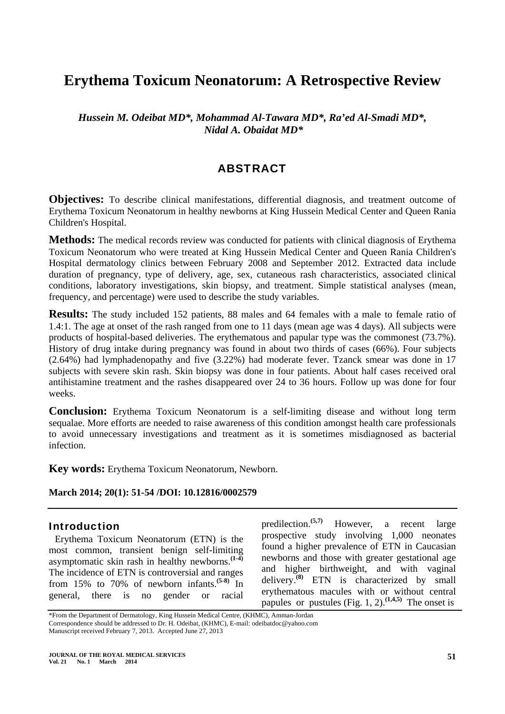# **Erythema Toxicum Neonatorum: A Retrospective Review**

*Hussein M. Odeibat MD\*, Mohammad Al-Tawara MD\*, Ra'ed Al-Smadi MD\*, Nidal A. Obaidat MD\** 

# ABSTRACT

**Objectives:** To describe clinical manifestations, differential diagnosis, and treatment outcome of Erythema Toxicum Neonatorum in healthy newborns at King Hussein Medical Center and Queen Rania Children's Hospital.

**Methods:** The medical records review was conducted for patients with clinical diagnosis of Erythema Toxicum Neonatorum who were treated at King Hussein Medical Center and Queen Rania Children's Hospital dermatology clinics between February 2008 and September 2012. Extracted data include duration of pregnancy, type of delivery, age, sex, cutaneous rash characteristics, associated clinical conditions, laboratory investigations, skin biopsy, and treatment. Simple statistical analyses (mean, frequency, and percentage) were used to describe the study variables.

**Results:** The study included 152 patients, 88 males and 64 females with a male to female ratio of 1.4:1. The age at onset of the rash ranged from one to 11 days (mean age was 4 days). All subjects were products of hospital-based deliveries. The erythematous and papular type was the commonest (73.7%). History of drug intake during pregnancy was found in about two thirds of cases (66%). Four subjects (2.64%) had lymphadenopathy and five (3.22%) had moderate fever. Tzanck smear was done in 17 subjects with severe skin rash. Skin biopsy was done in four patients. About half cases received oral antihistamine treatment and the rashes disappeared over 24 to 36 hours. Follow up was done for four weeks.

**Conclusion:** Erythema Toxicum Neonatorum is a self-limiting disease and without long term sequalae. More efforts are needed to raise awareness of this condition amongst health care professionals to avoid unnecessary investigations and treatment as it is sometimes misdiagnosed as bacterial infection.

**Key words:** Erythema Toxicum Neonatorum, Newborn.

**March 2014; 20(1): 51-54 /DOI: 10.12816/0002579**

#### Introduction

Erythema Toxicum Neonatorum (ETN) is the most common, transient benign self-limiting asymptomatic skin rash in healthy newborns.**(1-4)** The incidence of ETN is controversial and ranges from 15% to 70% of newborn infants.**(5-8)** In general, there is no gender or racial predilection.**(5,7)** However, a recent large prospective study involving 1,000 neonates found a higher prevalence of ETN in Caucasian newborns and those with greater gestational age and higher birthweight, and with vaginal delivery.**(8)** ETN is characterized by small erythematous macules with or without central papules or pustules (Fig. 1, 2).<sup> $(1,4,5)$ </sup> The onset is

\*From the Department of Dermatology, King Hussein Medical Centre, (KHMC), Amman-Jordan Correspondence should be addressed to Dr. H. Odeibat, (KHMC), E-mail: odeibatdoc@yahoo.com Manuscript received February 7, 2013. Accepted June 27, 2013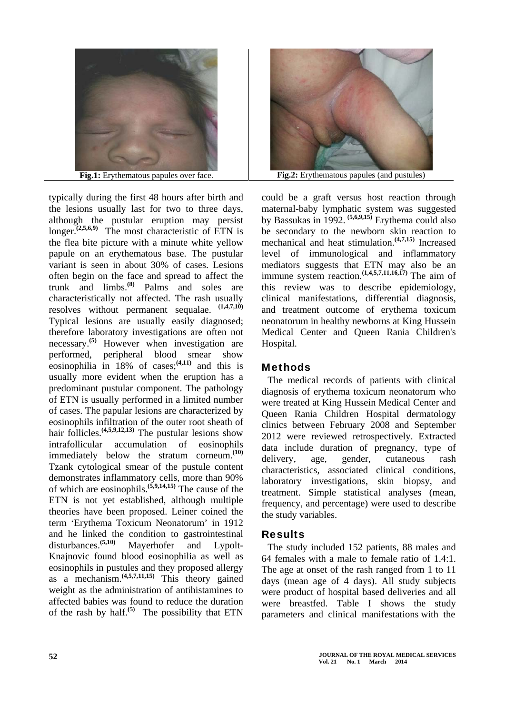

typically during the first 48 hours after birth and the lesions usually last for two to three days, although the pustular eruption may persist longer.<sup> $(2,5,6,9)$ </sup> The most characteristic of ETN is the flea bite picture with a minute white yellow papule on an erythematous base. The pustular variant is seen in about 30% of cases. Lesions often begin on the face and spread to affect the trunk and limbs.**(8)** Palms and soles are characteristically not affected. The rash usually resolves without permanent sequalae. **(1,4,7,10)**  Typical lesions are usually easily diagnosed; therefore laboratory investigations are often not necessary.**(5)** However when investigation are performed, peripheral blood smear show eosinophilia in 18% of cases;**(4,11)** and this is usually more evident when the eruption has a predominant pustular component. The pathology of ETN is usually performed in a limited number of cases. The papular lesions are characterized by eosinophils infiltration of the outer root sheath of hair follicles.**(4,5,9,12,13)** The pustular lesions show intrafollicular accumulation of eosinophils immediately below the stratum corneum.**(10)** Tzank cytological smear of the pustule content demonstrates inflammatory cells, more than 90% of which are eosinophils.**(5,9,14,15)** The cause of the ETN is not yet established, although multiple theories have been proposed. Leiner coined the term 'Erythema Toxicum Neonatorum' in 1912 and he linked the condition to gastrointestinal disturbances.<sup>(5,10)</sup> Mayerhofer and Lypolt-Knajnovic found blood eosinophilia as well as eosinophils in pustules and they proposed allergy as a mechanism.**(4,5,7,11,15)** This theory gained weight as the administration of antihistamines to affected babies was found to reduce the duration of the rash by half.**(5)** The possibility that ETN



could be a graft versus host reaction through maternal-baby lymphatic system was suggested by Bassukas in 1992. **(5,6,9,15)** Erythema could also be secondary to the newborn skin reaction to mechanical and heat stimulation.**(4,7,15)** Increased level of immunological and inflammatory mediators suggests that ETN may also be an immune system reaction.<sup> $(1,4,5,7,11,16,17)$ </sup> The aim of this review was to describe epidemiology, clinical manifestations, differential diagnosis, and treatment outcome of erythema toxicum neonatorum in healthy newborns at King Hussein Medical Center and Queen Rania Children's Hospital.

## **Methods**

The medical records of patients with clinical diagnosis of erythema toxicum neonatorum who were treated at King Hussein Medical Center and Queen Rania Children Hospital dermatology clinics between February 2008 and September 2012 were reviewed retrospectively. Extracted data include duration of pregnancy, type of delivery, age, gender, cutaneous rash characteristics, associated clinical conditions, laboratory investigations, skin biopsy, and treatment. Simple statistical analyses (mean, frequency, and percentage) were used to describe the study variables.

# Results

The study included 152 patients, 88 males and 64 females with a male to female ratio of 1.4:1. The age at onset of the rash ranged from 1 to 11 days (mean age of 4 days). All study subjects were product of hospital based deliveries and all were breastfed. Table I shows the study parameters and clinical manifestations with the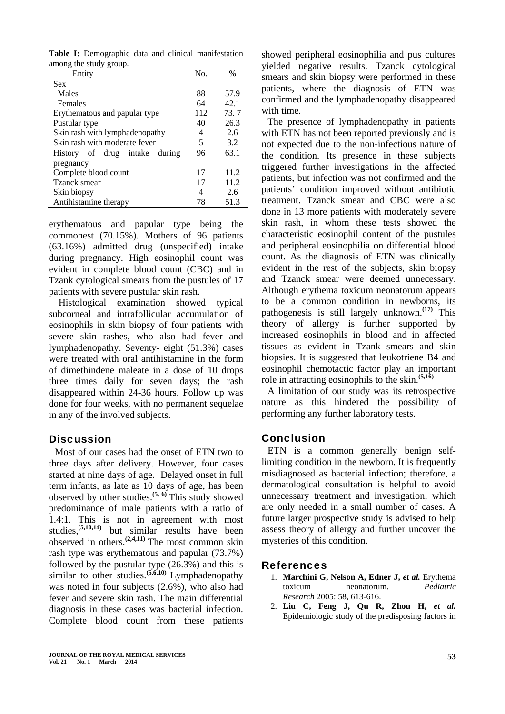Table I: Demographic data and clinical manifestation among the study group.

| Entity                           | No. | $\%$ |
|----------------------------------|-----|------|
| <b>Sex</b>                       |     |      |
| Males                            | 88  | 57.9 |
| Females                          | 64  | 42.1 |
| Erythematous and papular type    | 112 | 73.7 |
| Pustular type                    | 40  | 26.3 |
| Skin rash with lymphadenopathy   | 4   | 2.6  |
| Skin rash with moderate fever    | 5   | 3.2  |
| History of drug intake<br>during | 96  | 63.1 |
| pregnancy                        |     |      |
| Complete blood count             | 17  | 11.2 |
| Tzanck smear                     | 17  | 11.2 |
| Skin biopsy                      | 4   | 2.6  |
| Antihistamine therapy            | 78  | 51.3 |

erythematous and papular type being the commonest (70.15%). Mothers of 96 patients (63.16%) admitted drug (unspecified) intake during pregnancy. High eosinophil count was evident in complete blood count (CBC) and in Tzank cytological smears from the pustules of 17 patients with severe pustular skin rash.

 Histological examination showed typical subcorneal and intrafollicular accumulation of eosinophils in skin biopsy of four patients with severe skin rashes, who also had fever and lymphadenopathy. Seventy- eight (51.3%) cases were treated with oral antihistamine in the form of dimethindene maleate in a dose of 10 drops three times daily for seven days; the rash disappeared within 24-36 hours. Follow up was done for four weeks, with no permanent sequelae in any of the involved subjects.

## **Discussion**

Most of our cases had the onset of ETN two to three days after delivery. However, four cases started at nine days of age. Delayed onset in full term infants, as late as 10 days of age, has been observed by other studies.**(5, 6)** This study showed predominance of male patients with a ratio of 1.4:1. This is not in agreement with most studies,**(5,10,14)** but similar results have been observed in others.**(2,4,11)** The most common skin rash type was erythematous and papular (73.7%) followed by the pustular type (26.3%) and this is similar to other studies.<sup>(5,6,10)</sup> Lymphadenopathy was noted in four subjects (2.6%), who also had fever and severe skin rash. The main differential diagnosis in these cases was bacterial infection. Complete blood count from these patients

showed peripheral eosinophilia and pus cultures yielded negative results. Tzanck cytological smears and skin biopsy were performed in these patients, where the diagnosis of ETN was confirmed and the lymphadenopathy disappeared with time.

The presence of lymphadenopathy in patients with ETN has not been reported previously and is not expected due to the non-infectious nature of the condition. Its presence in these subjects triggered further investigations in the affected patients, but infection was not confirmed and the patients' condition improved without antibiotic treatment. Tzanck smear and CBC were also done in 13 more patients with moderately severe skin rash, in whom these tests showed the characteristic eosinophil content of the pustules and peripheral eosinophilia on differential blood count. As the diagnosis of ETN was clinically evident in the rest of the subjects, skin biopsy and Tzanck smear were deemed unnecessary. Although erythema toxicum neonatorum appears to be a common condition in newborns, its pathogenesis is still largely unknown.**(17)** This theory of allergy is further supported by increased eosinophils in blood and in affected tissues as evident in Tzank smears and skin biopsies. It is suggested that leukotriene B4 and eosinophil chemotactic factor play an important role in attracting eosinophils to the skin.**(5,16)** 

A limitation of our study was its retrospective nature as this hindered the possibility of performing any further laboratory tests.

## Conclusion

ETN is a common generally benign selflimiting condition in the newborn. It is frequently misdiagnosed as bacterial infection; therefore, a dermatological consultation is helpful to avoid unnecessary treatment and investigation, which are only needed in a small number of cases. A future larger prospective study is advised to help assess theory of allergy and further uncover the mysteries of this condition.

#### References

- 1. **Marchini G, Nelson A, Edner J,** *et al.* Erythema toxicum neonatorum. *Pediatric Research* 2005: 58, 613-616.
- 2. **Liu C, Feng J, Qu R, Zhou H,** *et al.* Epidemiologic study of the predisposing factors in